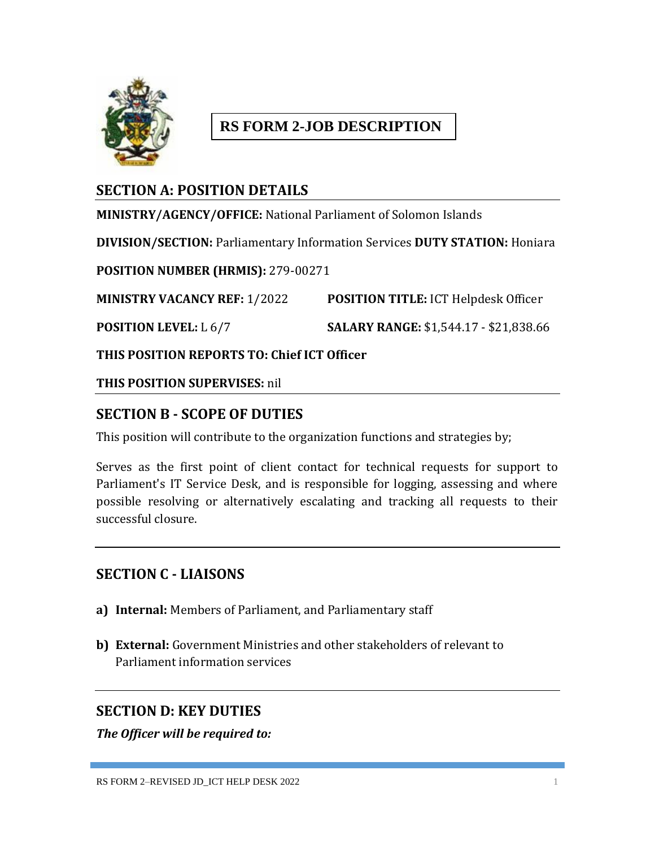

# **RS FORM 2-JOB DESCRIPTION**

# **SECTION A: POSITION DETAILS**

**MINISTRY/AGENCY/OFFICE:** National Parliament of Solomon Islands **DIVISION/SECTION:** Parliamentary Information Services **DUTY STATION:** Honiara **POSITION NUMBER (HRMIS):** 279-00271 **MINISTRY VACANCY REF:** 1/2022 **POSITION TITLE:** ICT Helpdesk Officer **POSITION LEVEL:** L 6/7 **SALARY RANGE:** \$1,544.17 - \$21,838.66

**THIS POSITION REPORTS TO: Chief ICT Officer**

**THIS POSITION SUPERVISES:** nil

# **SECTION B - SCOPE OF DUTIES**

This position will contribute to the organization functions and strategies by;

Serves as the first point of client contact for technical requests for support to Parliament's IT Service Desk, and is responsible for logging, assessing and where possible resolving or alternatively escalating and tracking all requests to their successful closure.

### **SECTION C - LIAISONS**

- **a) Internal:** Members of Parliament, and Parliamentary staff
- **b) External:** Government Ministries and other stakeholders of relevant to Parliament information services

### **SECTION D: KEY DUTIES**

*The Officer will be required to:*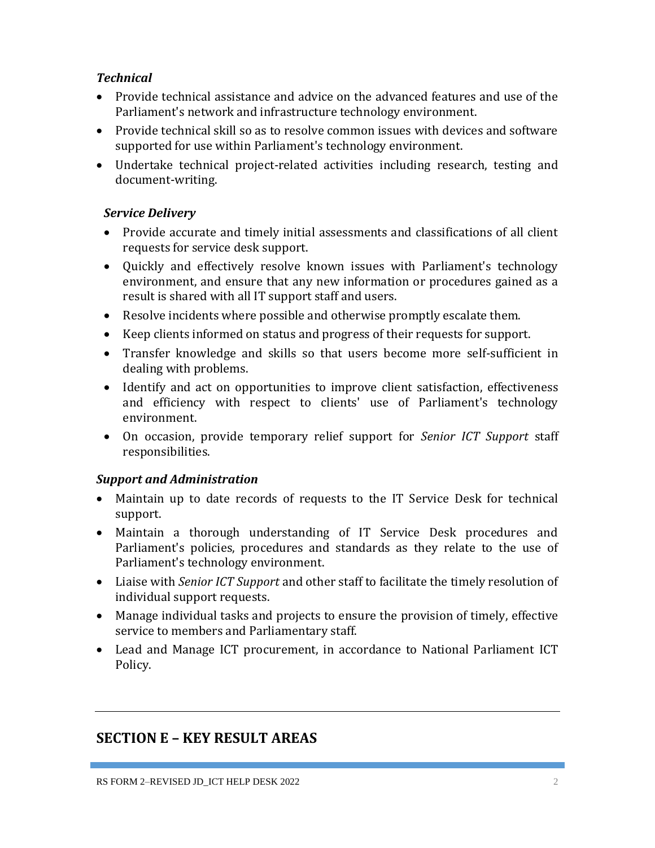### *Technical*

- Provide technical assistance and advice on the advanced features and use of the Parliament's network and infrastructure technology environment.
- Provide technical skill so as to resolve common issues with devices and software supported for use within Parliament's technology environment.
- Undertake technical project-related activities including research, testing and document-writing.

### *Service Delivery*

- Provide accurate and timely initial assessments and classifications of all client requests for service desk support.
- Quickly and effectively resolve known issues with Parliament's technology environment, and ensure that any new information or procedures gained as a result is shared with all IT support staff and users.
- Resolve incidents where possible and otherwise promptly escalate them.
- Keep clients informed on status and progress of their requests for support.
- Transfer knowledge and skills so that users become more self-sufficient in dealing with problems.
- Identify and act on opportunities to improve client satisfaction, effectiveness and efficiency with respect to clients' use of Parliament's technology environment.
- On occasion, provide temporary relief support for *Senior ICT Support* staff responsibilities.

### *Support and Administration*

- Maintain up to date records of requests to the IT Service Desk for technical support.
- Maintain a thorough understanding of IT Service Desk procedures and Parliament's policies, procedures and standards as they relate to the use of Parliament's technology environment.
- Liaise with *Senior ICT Support* and other staff to facilitate the timely resolution of individual support requests.
- Manage individual tasks and projects to ensure the provision of timely, effective service to members and Parliamentary staff.
- Lead and Manage ICT procurement, in accordance to National Parliament ICT Policy.

# **SECTION E – KEY RESULT AREAS**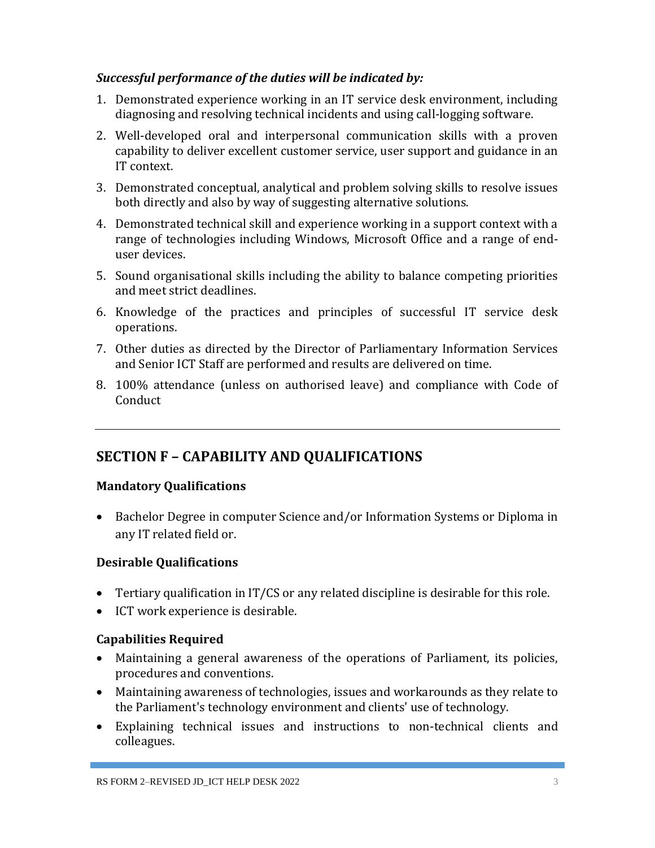#### *Successful performance of the duties will be indicated by:*

- 1. Demonstrated experience working in an IT service desk environment, including diagnosing and resolving technical incidents and using call-logging software.
- 2. Well-developed oral and interpersonal communication skills with a proven capability to deliver excellent customer service, user support and guidance in an IT context.
- 3. Demonstrated conceptual, analytical and problem solving skills to resolve issues both directly and also by way of suggesting alternative solutions.
- 4. Demonstrated technical skill and experience working in a support context with a range of technologies including Windows, Microsoft Office and a range of enduser devices.
- 5. Sound organisational skills including the ability to balance competing priorities and meet strict deadlines.
- 6. Knowledge of the practices and principles of successful IT service desk operations.
- 7. Other duties as directed by the Director of Parliamentary Information Services and Senior ICT Staff are performed and results are delivered on time.
- 8. 100% attendance (unless on authorised leave) and compliance with Code of Conduct

## **SECTION F – CAPABILITY AND QUALIFICATIONS**

### **Mandatory Qualifications**

 Bachelor Degree in computer Science and/or Information Systems or Diploma in any IT related field or.

### **Desirable Qualifications**

- Tertiary qualification in IT/CS or any related discipline is desirable for this role.
- ICT work experience is desirable.

### **Capabilities Required**

- Maintaining a general awareness of the operations of Parliament, its policies, procedures and conventions.
- Maintaining awareness of technologies, issues and workarounds as they relate to the Parliament's technology environment and clients' use of technology.
- Explaining technical issues and instructions to non-technical clients and colleagues.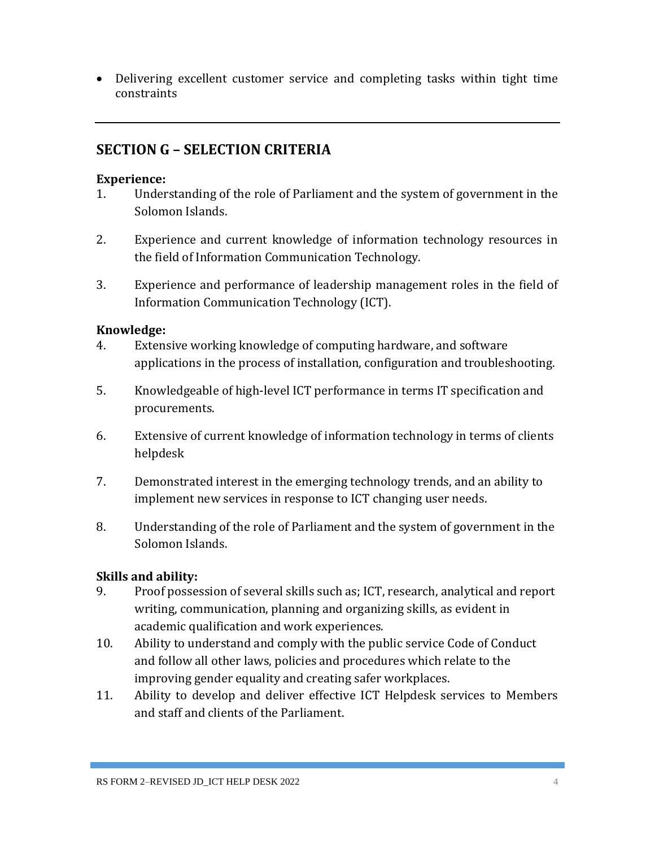Delivering excellent customer service and completing tasks within tight time constraints

## **SECTION G – SELECTION CRITERIA**

#### **Experience:**

- 1. Understanding of the role of Parliament and the system of government in the Solomon Islands.
- 2. Experience and current knowledge of information technology resources in the field of Information Communication Technology.
- 3. Experience and performance of leadership management roles in the field of Information Communication Technology (ICT).

#### **Knowledge:**

- 4. Extensive working knowledge of computing hardware, and software applications in the process of installation, configuration and troubleshooting.
- 5. Knowledgeable of high-level ICT performance in terms IT specification and procurements.
- 6. Extensive of current knowledge of information technology in terms of clients helpdesk
- 7. Demonstrated interest in the emerging technology trends, and an ability to implement new services in response to ICT changing user needs.
- 8. Understanding of the role of Parliament and the system of government in the Solomon Islands.

### **Skills and ability:**

- 9. Proof possession of several skills such as; ICT, research, analytical and report writing, communication, planning and organizing skills, as evident in academic qualification and work experiences.
- 10. Ability to understand and comply with the public service Code of Conduct and follow all other laws, policies and procedures which relate to the improving gender equality and creating safer workplaces.
- 11. Ability to develop and deliver effective ICT Helpdesk services to Members and staff and clients of the Parliament.